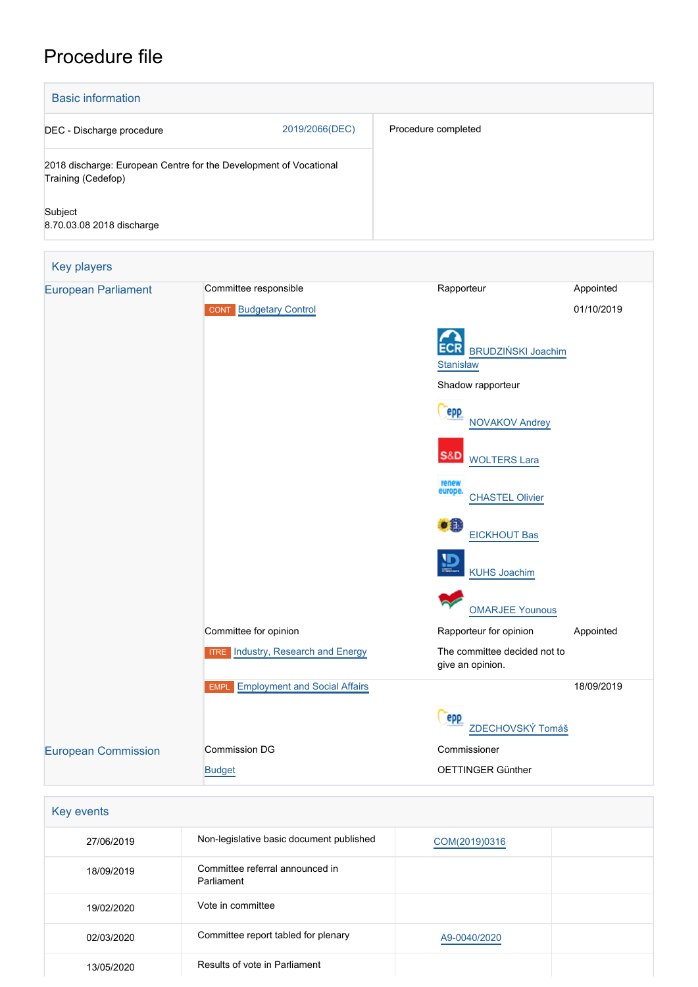# Procedure file

| <b>Basic information</b>                                                                |                                                        |                                                  |                         |
|-----------------------------------------------------------------------------------------|--------------------------------------------------------|--------------------------------------------------|-------------------------|
| 2019/2066(DEC)<br>DEC - Discharge procedure                                             |                                                        | Procedure completed                              |                         |
| 2018 discharge: European Centre for the Development of Vocational<br>Training (Cedefop) |                                                        |                                                  |                         |
| Subject<br>8.70.03.08 2018 discharge                                                    |                                                        |                                                  |                         |
| <b>Key players</b>                                                                      |                                                        |                                                  |                         |
| <b>European Parliament</b>                                                              | Committee responsible<br><b>CONT</b> Budgetary Control | Rapporteur                                       | Appointed<br>01/10/2019 |
|                                                                                         |                                                        | <b>BRUDZIŃSKI Joachim</b><br><b>Stanisław</b>    |                         |
|                                                                                         |                                                        | Shadow rapporteur                                |                         |
|                                                                                         |                                                        | <b>PPP</b><br><b>NOVAKOV Andrey</b>              |                         |
|                                                                                         |                                                        | S&D<br><b>WOLTERS Lara</b>                       |                         |
|                                                                                         |                                                        | renew<br>europe.<br><b>CHASTEL Olivier</b>       |                         |
|                                                                                         |                                                        | 攝<br><b>EICKHOUT Bas</b>                         |                         |
|                                                                                         |                                                        | <b>KUHS Joachim</b>                              |                         |
|                                                                                         |                                                        | <b>OMARJEE Younous</b>                           |                         |
|                                                                                         | Committee for opinion                                  | Rapporteur for opinion                           | Appointed               |
|                                                                                         | <b>Industry, Research and Energy</b><br><b>ITRE</b>    | The committee decided not to<br>give an opinion. |                         |
|                                                                                         | <b>Employment and Social Affairs</b><br><b>EMPL</b>    |                                                  | 18/09/2019              |
|                                                                                         |                                                        | epp<br>ZDECHOVSKÝ Tomáš                          |                         |
| <b>European Commission</b>                                                              | Commission DG                                          | Commissioner                                     |                         |
|                                                                                         | <b>Budget</b>                                          | OETTINGER Günther                                |                         |

| 27/06/2019 | Non-legislative basic document published      | COM(2019)0316 |  |
|------------|-----------------------------------------------|---------------|--|
| 18/09/2019 | Committee referral announced in<br>Parliament |               |  |
| 19/02/2020 | Vote in committee                             |               |  |
| 02/03/2020 | Committee report tabled for plenary           | A9-0040/2020  |  |
| 13/05/2020 | Results of vote in Parliament                 |               |  |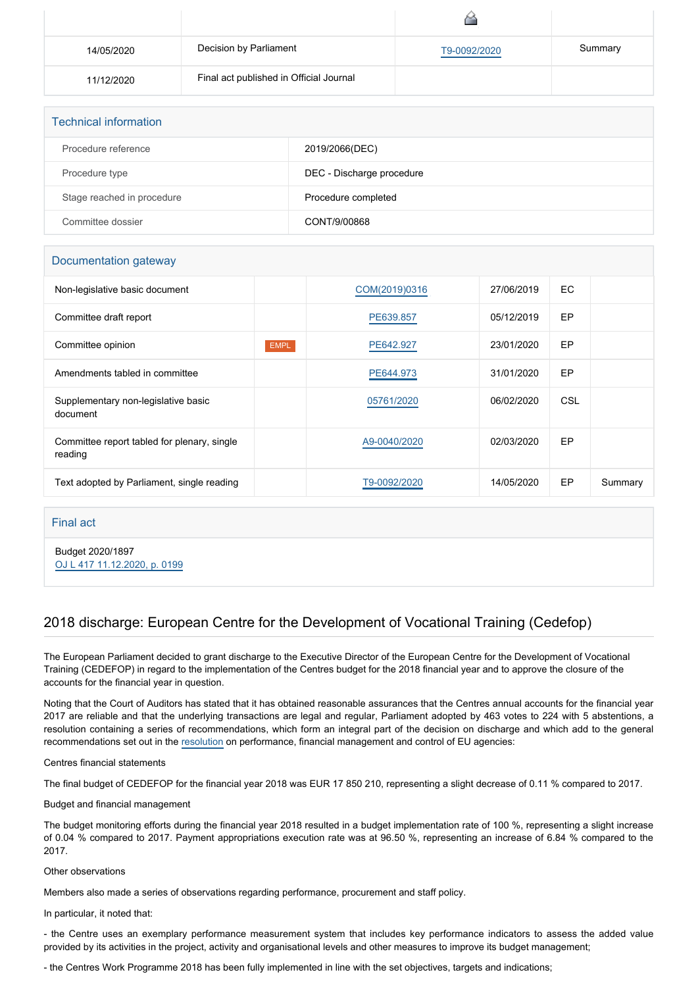| 14/05/2020 | Decision by Parliament                  | T9-0092/2020 | Summary |
|------------|-----------------------------------------|--------------|---------|
| 11/12/2020 | Final act published in Official Journal |              |         |

| <b>Technical information</b> |                           |  |
|------------------------------|---------------------------|--|
| Procedure reference          | 2019/2066(DEC)            |  |
| Procedure type               | DEC - Discharge procedure |  |
| Stage reached in procedure   | Procedure completed       |  |
| Committee dossier            | CONT/9/00868              |  |

### Documentation gateway

| Non-legislative basic document                         |             | COM(2019)0316 | 27/06/2019 | EC  |         |
|--------------------------------------------------------|-------------|---------------|------------|-----|---------|
| Committee draft report                                 |             | PE639.857     | 05/12/2019 | EP  |         |
| Committee opinion                                      | <b>EMPL</b> | PE642.927     | 23/01/2020 | EP  |         |
| Amendments tabled in committee                         |             | PE644.973     | 31/01/2020 | EP  |         |
| Supplementary non-legislative basic<br>document        |             | 05761/2020    | 06/02/2020 | CSL |         |
| Committee report tabled for plenary, single<br>reading |             | A9-0040/2020  | 02/03/2020 | EP  |         |
| Text adopted by Parliament, single reading             |             | T9-0092/2020  | 14/05/2020 | EP  | Summary |

#### Final act

Budget 2020/1897 [OJ L 417 11.12.2020, p. 0199](https://eur-lex.europa.eu/legal-content/EN/TXT/?uri=OJ:L:2020:417:TOC)

## 2018 discharge: European Centre for the Development of Vocational Training (Cedefop)

The European Parliament decided to grant discharge to the Executive Director of the European Centre for the Development of Vocational Training (CEDEFOP) in regard to the implementation of the Centres budget for the 2018 financial year and to approve the closure of the accounts for the financial year in question.

Noting that the Court of Auditors has stated that it has obtained reasonable assurances that the Centres annual accounts for the financial year 2017 are reliable and that the underlying transactions are legal and regular, Parliament adopted by 463 votes to 224 with 5 abstentions, a resolution containing a series of recommendations, which form an integral part of the decision on discharge and which add to the general recommendations set out in the [resolution](https://oeil.secure.europarl.europa.eu/oeil/popups/ficheprocedure.do?lang=en&reference=2019/2098(DEC)) on performance, financial management and control of EU agencies:

Centres financial statements

The final budget of CEDEFOP for the financial year 2018 was EUR 17 850 210, representing a slight decrease of 0.11 % compared to 2017.

Budget and financial management

The budget monitoring efforts during the financial year 2018 resulted in a budget implementation rate of 100 %, representing a slight increase of 0.04 % compared to 2017. Payment appropriations execution rate was at 96.50 %, representing an increase of 6.84 % compared to the 2017.

#### Other observations

Members also made a series of observations regarding performance, procurement and staff policy.

In particular, it noted that:

- the Centre uses an exemplary performance measurement system that includes key performance indicators to assess the added value provided by its activities in the project, activity and organisational levels and other measures to improve its budget management;

- the Centres Work Programme 2018 has been fully implemented in line with the set objectives, targets and indications;